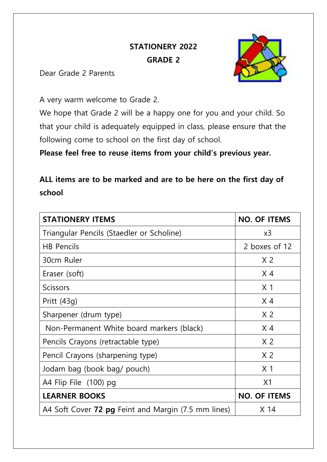## **STATIONERY 2022 GRADE 2**



Dear Grade 2 Parents

A very warm welcome to Grade 2.

We hope that Grade 2 will be a happy one for you and your child. So that your child is adequately equipped in class, please ensure that the following come to school on the first day of school.

**Please feel free to reuse items from your child's previous year.**

## **ALL items are to be marked and are to be here on the first day of school**

| <b>STATIONERY ITEMS</b>                                    | <b>NO. OF ITEMS</b> |
|------------------------------------------------------------|---------------------|
| Triangular Pencils (Staedler or Scholine)                  | x3                  |
| <b>HB</b> Pencils                                          | 2 boxes of 12       |
| 30cm Ruler                                                 | X <sub>2</sub>      |
| Eraser (soft)                                              | $\times$ 4          |
| Scissors                                                   | X <sub>1</sub>      |
| Pritt (43g)                                                | X <sub>4</sub>      |
| Sharpener (drum type)                                      | X <sub>2</sub>      |
| Non-Permanent White board markers (black)                  | X <sub>4</sub>      |
| Pencils Crayons (retractable type)                         | X <sub>2</sub>      |
| Pencil Crayons (sharpening type)                           | X <sub>2</sub>      |
| Jodam bag (book bag/ pouch)                                | X <sub>1</sub>      |
| A4 Flip File (100) pg                                      | X <sub>1</sub>      |
| <b>LEARNER BOOKS</b>                                       | <b>NO. OF ITEMS</b> |
| A4 Soft Cover <b>72 pg</b> Feint and Margin (7.5 mm lines) | X <sub>14</sub>     |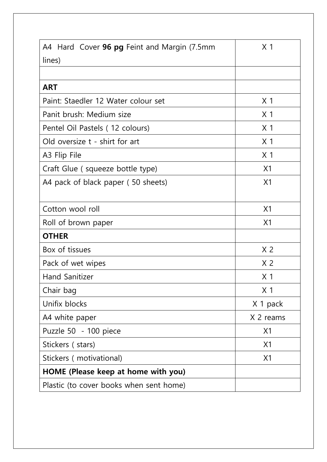| A4 Hard Cover 96 pg Feint and Margin (7.5mm | X <sub>1</sub> |
|---------------------------------------------|----------------|
| lines)                                      |                |
|                                             |                |
| <b>ART</b>                                  |                |
| Paint: Staedler 12 Water colour set         | X <sub>1</sub> |
| Panit brush: Medium size                    | X <sub>1</sub> |
| Pentel Oil Pastels (12 colours)             | X <sub>1</sub> |
| Old oversize t - shirt for art              | X <sub>1</sub> |
| A3 Flip File                                | X <sub>1</sub> |
| Craft Glue (squeeze bottle type)            | X <sub>1</sub> |
| A4 pack of black paper (50 sheets)          | X1             |
|                                             |                |
| Cotton wool roll                            | X <sub>1</sub> |
| Roll of brown paper                         | X <sub>1</sub> |
| <b>OTHER</b>                                |                |
| Box of tissues                              | X <sub>2</sub> |
| Pack of wet wipes                           | X <sub>2</sub> |
| <b>Hand Sanitizer</b>                       | X <sub>1</sub> |
| Chair bag                                   | X <sub>1</sub> |
| Unifix blocks                               | X 1 pack       |
| A4 white paper                              | X 2 reams      |
| Puzzle 50 - 100 piece                       | X <sub>1</sub> |
| Stickers (stars)                            | X1             |
| Stickers (motivational)                     | X1             |
| HOME (Please keep at home with you)         |                |
| Plastic (to cover books when sent home)     |                |